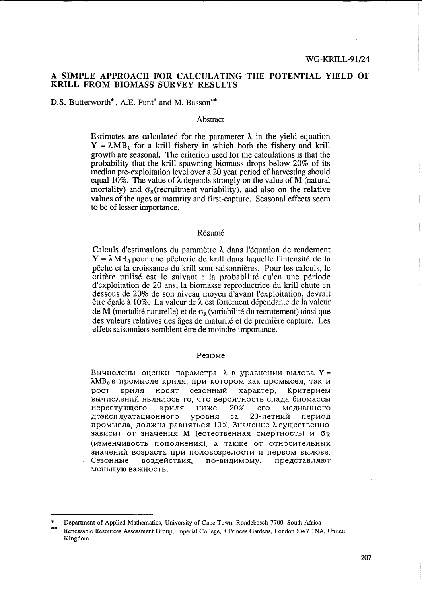## A **SIMPLE APPROACH FOR CALCULATING THE POTENTIAL YIELD OF KRILL FROM BIOMASS SURVEY RESULTS**

D.S. Butterworth<sup>\*</sup>, A.E. Punt<sup>\*</sup> and M. Basson<sup>\*\*</sup>

### Abstract

Estimates are calculated for the parameter  $\lambda$  in the yield equation  $Y = \lambda MB_0$  for a krill fishery in which both the fishery and krill growth are seasonal. The criterion used for the calculations is that the probability that the krill spawning biomass drops below 20% of its median pre-exploitation level over a 20 year period of harvesting should equal 10%. The value of  $\lambda$  depends strongly on the value of M (natural mortality) and  $\sigma_R$ (recruitment variability), and also on the relative values of the ages at maturity and first-capture. Seasonal effects seem to be of lesser importance.

### Résumé

Calculs d'estimations du paramètre  $\lambda$  dans l'équation de rendement  $Y = \lambda MB_0$  pour une pêcherie de krill dans laquelle l'intensité de la peche et la croissance du kriU sont saisonnieres. Pour les calculs, le critère utilisé est le suivant : la probabilité qu'en une période d'exploitation de 20 ans, la biomasse reproductrice du kriU chute en dessous de 20% de son niveau moyen d'avant l'exploitation, devrait être égale à 10%. La valeur de  $\lambda$  est fortement dépendante de la valeur de M (mortalité naturelle) et de  $\sigma_R$  (variabilité du recrutement) ainsi que des valeurs relatives des ages de maturite et de premiere capture. Les effets saisonniers semblent être de moindre importance.

#### Pe310Me

Вычислены оценки параметра  $\lambda$  в уравнении вылова  $Y =$  $\lambda$ MB<sub>0</sub> в промысле криля, при котором как промысел, так и рост криля носят сезонный характер. Критерием вычислений являлось то, что вероятность спада биомассы  $H$ ерестующего криля ниже 20% его медианного доэксплуатационного уровня за 20-летний период промысла, должна равняться 10%. Значение  $\lambda$  существенно зависит от значения М (естественная смертность) и  $\sigma_R$ (изменчивость пополнения), а также от относительных значений возраста при половозрелости и первом вылове. Сезонные воздействия, по-видимому, представляют меньшую важность.

Department of Applied Mathematics, University of Cape Town, Rondebosch 7700, South Africa

<sup>\*\*</sup> Renewable Resources Assessment Group, Imperial College, 8 Princes Gardens, London SW7 INA, United Kingdom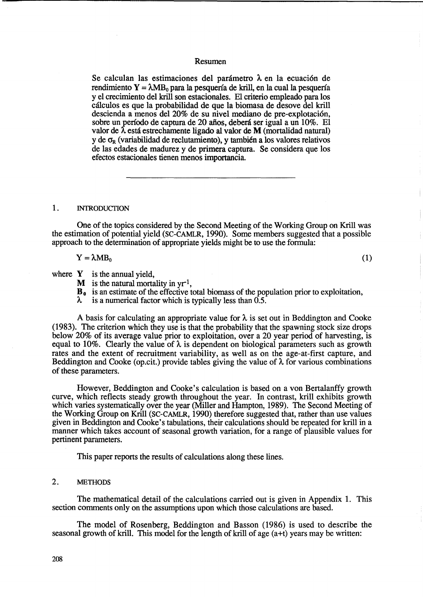## Resumen

Se calculan las estimaciones del parámetro  $\lambda$  en la ecuación de rendimiento  $Y = \lambda MB_0$  para la pesquería de krill, en la cual la pesquería y el crecimiento del krill son estacionales. El criterio empleado para los cálculos es que la probabilidad de que la biomasa de desove del krill descienda a menos del 20% de su nivel mediano de pre-explotación, sobre un período de captura de 20 años, deberá ser igual a un 10%. El valor de  $\lambda$  está estrechamente ligado al valor de M (mortalidad natural) y de  $\sigma_R$  (variabilidad de reclutamiento), y también a los valores relativos de las edades de madurez y de primera captura. Se considera que los efectos estacionales tienen menos importancia.

## 1. INTRODUCTION

One of the topics considered by the Second Meeting of the Working Group on Krill was the estimation of potential yield (SC-CAMLR, 1990). Some members suggested that a possible approach to the determination of appropriate yields might be to use the formula:

 $Y = \lambda MB_0$  (1)

where  $Y$  is the annual yield,

- M is the natural mortality in  $yr^{-1}$ ,
- $\mathbf{B}_{0}$  is an estimate of the effective total biomass of the population prior to exploitation,

 $\lambda$ is a numerical factor which is typically less than 0.5.

A basis for calculating an appropriate value for  $\lambda$  is set out in Beddington and Cooke (1983). The criterion which they use is that the probability that the spawning stock size drops below 20% of its average value prior to exploitation, over a 20 year period of harvesting, is equal to 10%. Clearly the value of  $\lambda$  is dependent on biological parameters such as growth rates and the extent of recruitment variability, as well as on the age-at-first capture, and Beddington and Cooke (op.cit.) provide tables giving the value of  $\lambda$  for various combinations of these parameters.

However, Beddington and Cooke's calculation is based on a von Bertalanffy growth curve, which reflects steady growth throughout the year. In contrast, krill exhibits growth which varies systematically over the year (Miller and Hampton, 1989). The Second Meeting of the Working Group on Krill (SC-CAMLR, 1990) therefore suggested that, rather than use values given in Beddington and Cooke' s tabulations, their calculations should be repeated for krill in a manner which takes account of seasonal growth variation, for a range of plausible values for pertinent parameters.

This paper reports the results of calculations along these lines.

### 2. METHODS

The mathematical detail of the calculations carried out is given in Appendix 1. This section comments only on the assumptions upon which those calculations are based.

The model of Rosenberg, Beddington and Basson (1986) is used to describe the seasonal growth of krill. This model for the length of kriU of age (a+t) years may be written: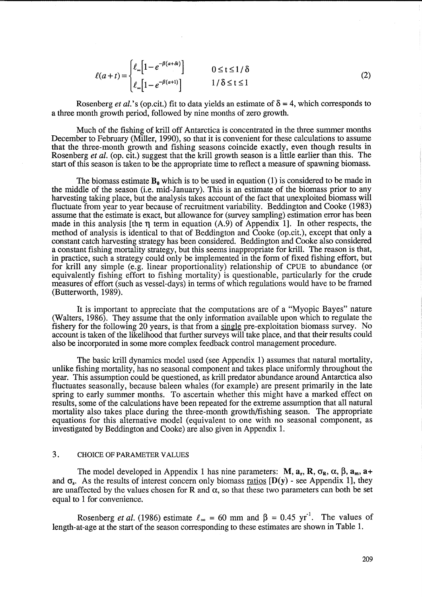$$
\ell(a+t) = \begin{cases} \ell_{\infty} \left[ 1 - e^{-\beta(a+\delta t)} \right] & 0 \le t \le 1/\delta \\ \ell_{\infty} \left[ 1 - e^{-\beta(a+1)} \right] & 1/\delta \le t \le 1 \end{cases}
$$
 (2)

Rosenberg *et al.*'s (op.cit.) fit to data yields an estimate of  $\delta = 4$ , which corresponds to a three month growth period, followed by nine months of zero growth.

Much of the fishing of krill off Antarctica is concentrated in the three summer months December to February (Miller, 1990), so that it is convenient for these calculations to assume that the three-month growth and fishing seasons coincide exactly, even though results in Rosenberg *et al.* (op. cit.) suggest that the krill growth season is a little earlier than this. The start of this season is taken to be the appropriate time to reflect a measure of spawning biomass.

The biomass estimate  $B_0$  which is to be used in equation (1) is considered to be made in the middle of the season (i.e. mid-January). This is an estimate of the biomass prior to any harvesting taking place, but the analysis takes account of the fact that unexploited biomass will fluctuate from year to year because of recruitment variability. Beddington and Cooke (1983) assume that the estimate is exact, but allowance for (survey sampling) estimation error has been made in this analysis [the  $\eta$  term in equation (A.9) of Appendix 1]. In other respects, the method of analysis is identical to that of Beddington and Cooke (op.cit.), except that only a constant catch harvesting strategy has been considered. Beddington and Cooke also considered a constant fishing mortality strategy, but this seems inappropriate for krill. The reason is that, in practice, such a strategy could only be implemented in the form of fixed fishing effort, but for krill any simple (e.g. linear proportionality) relationship of CPUE to abundance (or equivalently fishing effort to fishing mortality) is questionable, particularly for the crude measures of effort (such as vessel-days) in terms of which regulations would have to be framed (Butterworth, 1989).

It is important to appreciate that the computations are of a "Myopic Bayes" nature (Walters, 1986). They assume that the only information available upon which to regulate the fishery for the following 20 years, is that from a single pre-exploitation biomass survey. No account is taken of the likelihood that further surveys will take place, and that their results could also be incorporated in some more complex feedback control management procedure.

The basic krill dynamics model used (see Appendix 1) assumes that natural mortality, unlike fishing mortality, has no seasonal component and takes place uniformly throughout the year. This assumption could be questioned, as krill predator abundance around Antarctica also fluctuates seasonally, because baleen whales (for example) are present primarily in the late spring to early summer months. To ascertain whether this might have a marked effect on results, some of the calculations have been repeated for the extreme assumption that all natural mortality also takes place during the three-month growth/fishing season. The appropriate equations for this alternative model (equivalent to one with no seasonal component, as investigated by Beddington and Cooke) are also given in Appendix 1.

# 3. CHOICE OF PARAMETER VALUES

The model developed in Appendix 1 has nine parameters:  $M$ ,  $a_r$ ,  $R$ ,  $\sigma_R$ ,  $\alpha$ ,  $\beta$ ,  $a_m$ ,  $a+$ and  $\sigma_s$ . As the results of interest concern only biomass ratios  $[D(y)$  - see Appendix 1], they are unaffected by the values chosen for R and  $\alpha$ , so that these two parameters can both be set equal to 1 for convenience.

Rosenberg *et al.* (1986) estimate  $\ell_{\infty} = 60$  mm and  $\beta = 0.45$  yr<sup>-1</sup>. The values of length-at -age at the start of the season corresponding to these estimates are shown in Table 1.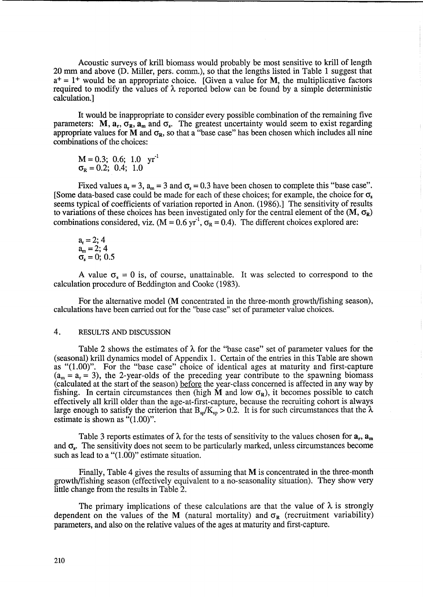Acoustic surveys of krill biomass would probably be most sensitive to krill of length 20 mm and above (D. Miller, pers. comm.), so that the lengths listed in Table 1 suggest that  $a^+=1^+$  would be an appropriate choice. [Given a value for M, the multiplicative factors required to modify the values of  $\lambda$  reported below can be found by a simple deterministic calculation. ]

It would be inappropriate to consider every possible combination of the remaining five parameters:  $M$ ,  $a_r$ ,  $\sigma_R^2$ ,  $a_m$  and  $\sigma_s$ . The greatest uncertainty would seem to exist regarding appropriate values for M and  $\sigma_R$ , so that a "base case" has been chosen which includes all nine combinations of the choices:

 $M = 0.3; 0.6; 1.0 \text{ yr}^{-1}$  $\sigma_{\rm R} = 0.2$ ; 0.4; 1.0

Fixed values  $a_r = 3$ ,  $a_m = 3$  and  $\sigma_s = 0.3$  have been chosen to complete this "base case". [Some data-based case could be made for each of these choices; for example, the choice for  $\sigma_s$ seems typical of coefficients of variation reported in Anon. (1986).] The sensitivity of results to variations of these choices has been investigated only for the central element of the  $(M, \sigma_R)$ combinations considered, viz.  $(M = 0.6 \text{ yr}^1, \sigma_R = 0.4)$ . The different choices explored are:

$$
ar = 2; 4am = 2; 4\sigmas = 0; 0.5
$$

A value  $\sigma_s = 0$  is, of course, unattainable. It was selected to correspond to the calculation procedure of Beddington and Cooke (1983).

For the alternative model (M concentrated in the three-month growth/fishing season), calculations have been carried out for the "base case" set of parameter value choices.

# 4. RESULTS AND DISCUSSION

Table 2 shows the estimates of  $\lambda$  for the "base case" set of parameter values for the (seasonal) krill dynamics model of Appendix 1. Certain of the entries in this Table are shown as "(1.00)". For the "base case" choice of identical ages at maturity and first-capture  $(a_m = a_r = 3)$ , the 2-year-olds of the preceding year contribute to the spawning biomass (calculated at the start of the season) before the year-class concerned is affected in any way by fishing. In certain circumstances then (high M and low  $\sigma_R$ ), it becomes possible to catch effectively all krill older than the age-at-first-capture, because the recruiting cohort is always large enough to satisfy the criterion that  $B_{s\rho}/K_{s\rho} > 0.2$ . It is for such circumstances that the  $\lambda$ estimate is shown as "(1.00)".

Table 3 reports estimates of  $\lambda$  for the tests of sensitivity to the values chosen for  $a_r$ ,  $a_m$ and  $\sigma_{\rm s}$ . The sensitivity does not seem to be particularly marked, unless circumstances become such as lead to a "(1.00)" estimate situation.

Finally, Table 4 gives the results of assuming that M is concentrated in the three-month growth/fishing season (effectively equivalent to a no-seasonality situation). They show very little change from the results in Table 2.

The primary implications of these calculations are that the value of  $\lambda$  is strongly dependent on the values of the M (natural mortality) and  $\sigma_R$  (recruitment variability) parameters, and also on the relative values of the ages at maturity and first-capture.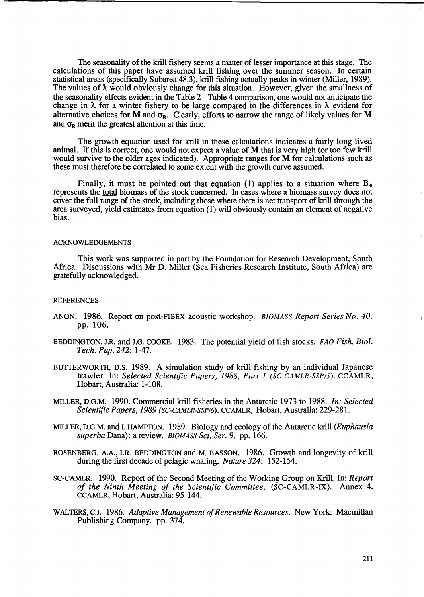The seasonality of the krill fishery seems a matter of lesser importance at this stage. The calculations of this paper have assumed krill fishing over the summer season. In certain statistical areas (specifically Subarea 48.3), kriU fishing actually peaks in winter (Miller, 1989). The values of  $\lambda$  would obviously change for this situation. However, given the smallness of the seasonality effects evident in the Table 2 - Table 4 comparison, one would not anticipate the change in  $\lambda$  for a winter fishery to be large compared to the differences in  $\lambda$  evident for alternative choices for M and  $\sigma_{\mathbf{R}}$ . Clearly, efforts to narrow the range of likely values for M and  $\sigma_{\rm R}$  merit the greatest attention at this time.

The growth equation used for krill in these calculations indicates a fairly long-lived animal. If this is correct, one would not expect a value of M that is very high (or too few krill would survive to the older ages indicated). Appropriate ranges for M for calculations such as these must therefore be correlated to some extent with the growth curve assumed.

Finally, it must be pointed out that equation (1) applies to a situation where  $\mathbf{B}_0$ represents the total biomass of the stock concerned. In cases where a biomass survey does not cover the full range of the stock, including those where there is net transport of krill through the area surveyed, yield estimates from equation (1) will obviously contain an element of negative bias.

#### ACKNOWLEDGEMENTS

This work was supported in part by the Foundation for Research Development, South Africa. Discussions with Mr D. Miller (Sea Fisheries Research Institute, South Africa) are gratefully acknowledged.

### **REFERENCES**

- ANON. 1986. Report on post-FIBEX acoustic workshop. *BIOMASS Report Series No. 40.* pp. 106.
- BEDDINGTON, J.R. and J.G. COOKE. 1983. The potential yield of fish stocks. *FAO Fish. Bioi. Tech. Pap.* 242: 1-47.
- BUTTERWORTH, D.S. 1989. A simulation study of krill fishing by an individual Japanese trawler. In: *Selected Scientific Papers,* 1988, *Part* 1 *(SC-CAMLR-SSPI5).* CCAMLR, Hobart, Australia: 1-108.
- MILLER, D.G.M. 1990. Commercial krill fisheries in the Antarctic 1973 to 1988. *In: Selected Scientific Papers,* 1989 *(SC-CAMLR-SSPI6).* CCAMLR, Hobart, Australia: 229-281.
- MILLER, D.G.M. and I. HAMPTON. 1989. Biology and ecology of the Antarctic krill *(Euphausia superba* Dana): a review. *BIOMASS Sci. Ser.* 9. pp. 166.
- ROSENBERG, A.A., J.R. BEDDINGTON and M. BASSON. 1986. Growth and longevity of krill during the first decade of pelagic whaling. *Nature* 324: 152-154.
- SC-CAMLR. 1990. Report of the Second Meeting of the Working Group on Krill. In: *Report of the Ninth Meeting of the Scientific Committee.* (SC-CAMLR-IX). Annex 4. CCAMLR, Hobart, Australia: 95-144.
- W ALTERS, C.J. 1986. *Adaptive Management of Renewable Resources.* New York: Macmillan Publishing Company. pp. 374.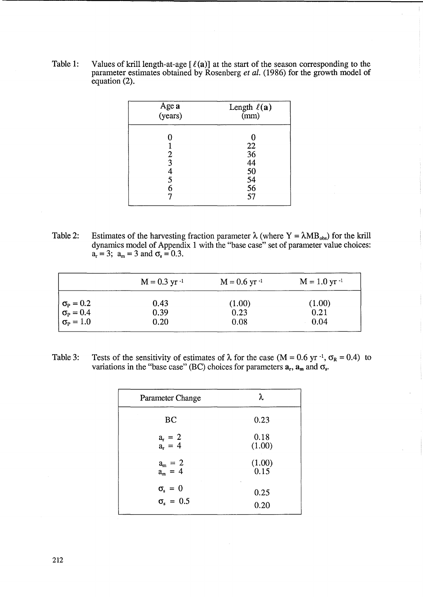Table 1: Values of krill length-at-age  $[\ell(a)]$  at the start of the season corresponding to the parameter estimates obtained by Rosenberg *et al.* (1986) for the growth model of equation (2).

| Age a<br>(years)                   | Length $\ell(\mathbf{a})$<br>(mm)            |  |
|------------------------------------|----------------------------------------------|--|
| Π<br>2<br>$\bar{3}$<br>4<br>5<br>6 | 22<br>36<br>44<br>50<br>50<br>54<br>56<br>57 |  |

Table 2: Estimates of the harvesting fraction parameter  $\lambda$  (where Y =  $\lambda MB_{obs}$ ) for the krill dynamics model of Appendix 1 with the "base case" set of parameter value choices:  $a_r = 3; a_m = 3$  and  $\sigma_s = 0.3$ .

|                                                                            | $M = 0.3$ yr $^{-1}$ | $M = 0.6$ yr $^{-1}$ | $M = 1.0$ yr $^{-1}$ |
|----------------------------------------------------------------------------|----------------------|----------------------|----------------------|
| $\sigma_{\rm P} = 0.2$<br>$\sigma_{\rm P} = 0.4$<br>$\sigma_{\rm P} = 1.0$ | 0.43                 | (1.00)               | (1.00)               |
|                                                                            | 0.39                 | 0.23                 | 0.21                 |
|                                                                            | 0.20                 | 0.08                 | 0.04                 |

Table 3: Tests of the sensitivity of estimates of  $\lambda$  for the case (M = 0.6 yr<sup>-1</sup>,  $\sigma_R$  = 0.4) to variations in the "base case" (BC) choices for parameters  $a_r$ ,  $a_m$  and  $\sigma_s$ .

| Parameter Change                           | λ              |
|--------------------------------------------|----------------|
| BC                                         | 0.23           |
| $a_r = 2$<br>$a_r = 4$                     | 0.18<br>(1.00) |
| $a_m = 2$<br>$a_m = 4$                     | (1.00)<br>0.15 |
| $\sigma_{s} = 0$<br>$\sigma_{\rm s} = 0.5$ | 0.25<br>0.20   |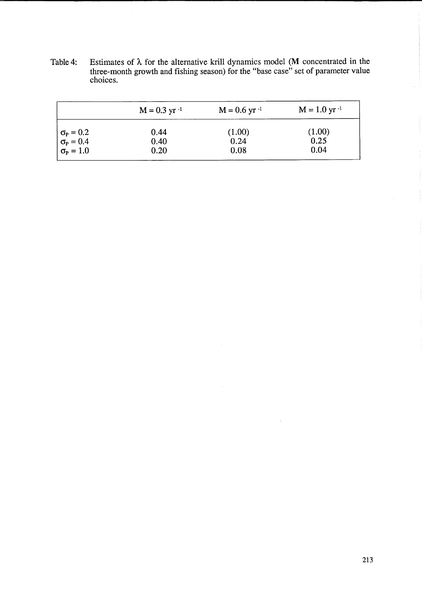Table 4: Estimates of  $\lambda$  for the alternative krill dynamics model (M concentrated in the three-month growth and fishing season) for the "base case" set of parameter value choices.

|                                                                            | $M = 0.3$ yr $^{-1}$ | $M = 0.6$ yr $^{-1}$ | $M = 1.0$ yr $^{-1}$ |
|----------------------------------------------------------------------------|----------------------|----------------------|----------------------|
|                                                                            | 0.44                 | (1.00)               | (1.00)               |
|                                                                            | 0.40                 | 0.24                 | 0.25                 |
| $\sigma_{\rm P} = 0.2$<br>$\sigma_{\rm P} = 0.4$<br>$\sigma_{\rm P} = 1.0$ | 0.20                 | 0.08                 | 0.04                 |

 $\mathcal{A}$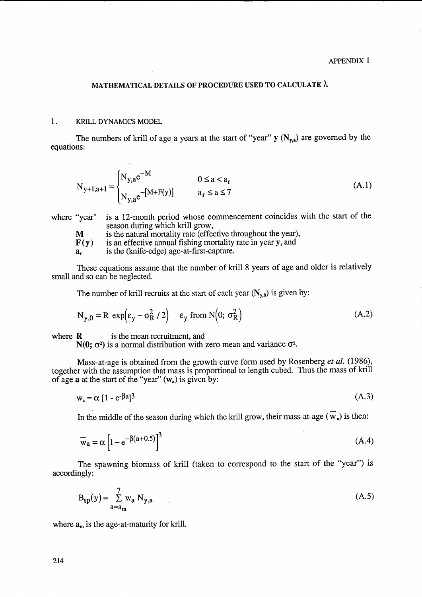$\mathcal{L}$ 

## MATHEMATICAL DETAILS OF PROCEDURE USED TO CALCULATE A

## 1. KRILL DYNAMICS MODEL

The numbers of krill of age a years at the start of "year"  $y(N_{y,a})$  are governed by the equations:

$$
N_{y+1,a+1} = \begin{cases} N_{y,a}e^{-M} & 0 \le a < a_r \\ N_{y,a}e^{-[M+F(y)]} & a_r \le a \le 7 \end{cases}
$$
 (A.1)

where "year" is a 12-month period whose commencement coincides with the start of the season during which krill grow,

is the natural mortality rate (effective throughout the year), M

is an effective annual fishing mortality rate in year y, and  $F(v)$ 

is the (knife-edge) age-at-first-capture.  $a_{r}$ 

These equations assume that the number of krill 8 years of age and older is relatively small and so can be neglected.

The number of krill recruits at the start of each year  $(N_{y,0})$  is given by:

$$
N_{y,0} = R \exp(\epsilon_y - \sigma_R^2 / 2) \quad \epsilon_y \text{ from } N(0; \sigma_R^2)
$$
 (A.2)

where  $\bf{R}$  is the mean recruitment, and

 $N(0; \sigma^2)$  is a normal distribution with zero mean and variance  $\sigma^2$ .

Mass-at-age is obtained from the growth curve form used by Rosenberg et al. (1986), together with the assumption that mass is proportional to length cubed. Thus the mass of krill of age  $\bf{a}$  at the start of the "year" ( $\bf{w}_a$ ) is given by:

$$
w_a = \alpha \left[ 1 - e^{-\beta a} \right]^3 \tag{A.3}
$$

In the middle of the season during which the krill grow, their mass-at-age  $(\overline{w}_a)$  is then:

$$
\overline{\mathbf{w}}_a = \alpha \left[ 1 - e^{-\beta(a+0.5)} \right]^3 \tag{A.4}
$$

The spawning biomass of krill (taken to correspond to the start of the "year") is accordingly:

$$
B_{\rm sp}(y) = \sum_{a=a_{\rm m}}^{7} w_a N_{y,a} \tag{A.5}
$$

where  $a_m$  is the age-at-maturity for krill.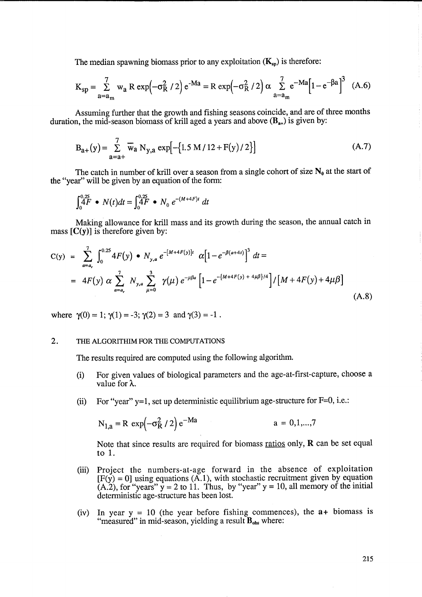The median spawning biomass prior to any exploitation  $(K_{so})$  is therefore:

$$
K_{sp} = \sum_{a=a_m}^{7} w_a R \exp(-\sigma_R^2 / 2) e^{-Ma} = R \exp(-\sigma_R^2 / 2) \alpha \sum_{a=a_m}^{7} e^{-Ma} [1 - e^{-\beta a}]^3
$$
 (A.6)

Assuming further that the growth and fishing seasons coincide, and are of three months duration, the mid-season biomass of krill aged a years and above  $(B_{n+})$  is given by:

$$
B_{a+}(y) = \sum_{a=a+}^{7} \overline{w}_a N_{y,a} exp[-(1.5 M / 12 + F(y) / 2)]
$$
 (A.7)

The catch in number of krill over a season from a single cohort of size  $N_0$  at the start of the "year" will be given by an equation of the form:

$$
\int_0^{0.25} 4F \cdot N(t)dt = \int_0^{0.25} 4F \cdot N_0 e^{-(M+4F)t} dt
$$

Making allowance for krill mass and its growth during the season, the annual catch in mass  $[C(y)]$  is therefore given by:

$$
C(y) = \sum_{a=a_r}^{7} \int_0^{0.25} 4F(y) \cdot N_{y,a} e^{-[M+4F(y)]t} \alpha [1 - e^{-\beta(a+4t)}]^3 dt =
$$
  
=  $4F(y) \alpha \sum_{a=a_r}^{7} N_{y,a} \sum_{\mu=0}^{3} \gamma(\mu) e^{-\mu\beta a} [1 - e^{-\{M+4F(y) + 4\mu\beta\}t}] / [M + 4F(y) + 4\mu\beta]$  (A.8)

where  $\gamma(0) = 1$ ;  $\gamma(1) = -3$ ;  $\gamma(2) = 3$  and  $\gamma(3) = -1$ .

## 2. THE ALGORITHIM FOR THE COMPUTATIONS

The results required are computed using the following algorithm.

- (i) For given values of biological parameters and the age-at-first-capture, choose a value for  $\lambda$ .
- (ii) For "year"  $v=1$ , set up deterministic equilibrium age-structure for  $F=0$ , i.e.:

$$
N_{1,a} = R \exp(-\sigma_R^2 / 2) e^{-Ma}
$$
   
  $a = 0,1,...,7$ 

Note that since results are required for biomass ratios only,  $\bf{R}$  can be set equal to 1.

- (iii) Project the numbers-at-age forward in the absence of exploitation  $[F(y) = 0]$  using equations  $(A.1)$ , with stochastic recruitment given by equation  $(A.2)$ , for "years"  $y = 2$  to 11. Thus, by "year"  $y = 10$ , all memory of the initial deterministic age-structure has been lost.
- (iv) In year  $y = 10$  (the year before fishing commences), the  $a + biomass$  is "measured" in mid-season, yielding a result  $B_{obs}$  where: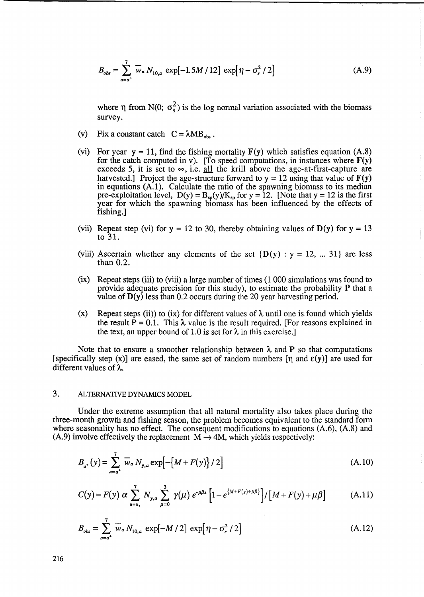$$
B_{obs} = \sum_{a=a^+}^{7} \overline{w}_a N_{10,a} \exp[-1.5M/12] \exp[\eta - \sigma_s^2/2]
$$
 (A.9)

where  $\eta$  from N(0;  $\sigma_s^2$ ) is the log normal variation associated with the biomass survey.

- (v) Fix a constant catch  $C = \lambda MB_{obs}$ .
- (vi) For year  $y = 11$ , find the fishing mortality  $F(y)$  which satisfies equation (A.8) for the catch computed in v). [To speed computations, in instances where  $F(y)$ exceeds 5, it is set to  $\infty$ , i.e. all the krill above the age-at-first-capture are harvested.] Project the age-structure forward to  $y = 12$  using that value of  $F(y)$ in equations (A. 1). Calculate the ratio of the spawning biomass to its median pre-exploitation level,  $D(y) = B_{sp}(y)/K_{sp}$  for  $y = 12$ . [Note that  $y = 12$  is the first year for which the spawning biomass has been influenced by the effects of fishing.]
- (vii) Repeat step (vi) for  $y = 12$  to 30, thereby obtaining values of  $D(y)$  for  $y = 13$ to 31.
- (viii) Ascertain whether any elements of the set  $\{D(v): v = 12, ... 31\}$  are less than 0.2.
- (ix) Repeat steps (iii) to (viii) a large number of times (1 000 simulations was found to provide adequate precision for this study), to estimate the probability P that a value of  $D(y)$  less than 0.2 occurs during the 20 year harvesting period.
- (x) Repeat steps (ii)) to (ix) for different values of  $\lambda$  until one is found which yields the result  $\bar{P} = 0.1$ . This  $\lambda$  value is the result required. [For reasons explained in the text, an upper bound of 1.0 is set for  $\lambda$  in this exercise.]

Note that to ensure a smoother relationship between  $\lambda$  and P so that computations [specifically step (x)] are eased, the same set of random numbers  $[\eta$  and  $\varepsilon(y)]$  are used for different values of A.

# 3. ALTERNATIVE DYNAMICS MODEL

Under the extreme assumption that all natural mortality also takes place during the three-month growth and fishing season, the problem becomes equivalent to the standard form where seasonality has no effect. The consequent modifications to equations (A.6), (A.8) and (A.9) involve effectively the replacement  $M \rightarrow 4M$ , which yields respectively:

$$
B_{a^{+}}(y) = \sum_{a=a^{+}}^{7} \overline{w}_{a} N_{y,a} \exp[-\{M + F(y)\} / 2]
$$
 (A.10)

$$
C(y) = F(y) \alpha \sum_{a=a_r}^{7} N_{y,a} \sum_{\mu=0}^{3} \gamma(\mu) e^{-\mu \beta a} \left[ 1 - e^{\{M + F(y) + \mu \beta\}} \right] / \left[ M + F(y) + \mu \beta \right]
$$
 (A.11)

$$
B_{obs} = \sum_{a=a^{+}}^{7} \overline{w}_{a} N_{10,a} \exp[-M/2] \exp[\eta - \sigma_{s}^{2}/2]
$$
 (A.12)